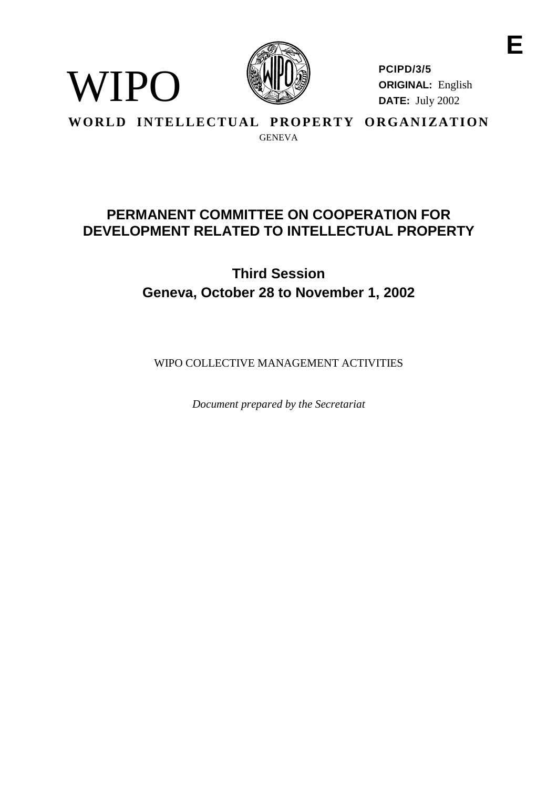

**PCIPD/3/5 ORIGINAL:** English **DATE:** July 2002

**WORLD INTELLECTUAL PROPERTY ORGANIZATION GENEVA** 

WIPO

# **PERMANENTCOMMITTEEONCOOPERATIONFOR** DEVELOPMENT RELATEDTOINTELLECTUALPROPERTY

**Third Session Geneva, October 28 to November 1, 2002**

WIPO COLLECTIVEMANAGEMEN TA CTIVITIES

*Document prepared by the Secretariat*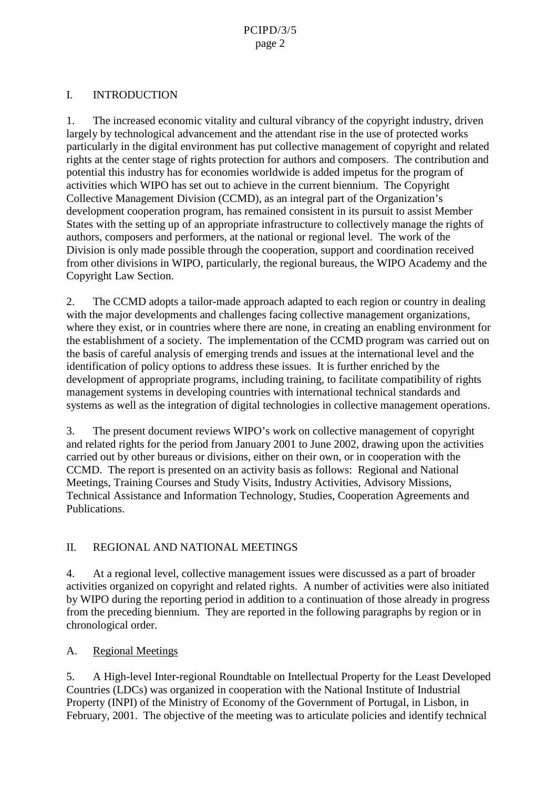## I. INTRODUCTION

1. The increased economic v itality and cultural vibrancy of the copyright industry, driven largely by technological advancement and the attendant rise in the use of protected works particularly in the digital environment has put collective management of copyright and related rights at the center stage of rights protection for authors and composers. The contribution and potential this industry has fore conomies worldwide is added impetus for the program of activities which WIPO has set out to achieve in the current biennium. The Copyright Collective Management Division (CCMD), as an integral part of the Organization 's development cooperation program, has remained consistent in its pursuit to assist Member States with the setting up of an appropriat einfrastructure to collectively manage the rights of authors, composers and performers, at the national orregional level. The work of the Division is only made possible through the cooperation, support and coordination received from other divisions in W IPO, particularly, the regional bureaus, the WIPO Academy and the CopyrightLawSection.

2. The CCMD adopts atailor -made approach adapted to each region or country indealing with the major developments and challenges facing collective managem entorganizations, where they exist, or in countries where the reare none, increating an enabling environment for the establishment of associety. The implementation of the CCMD program was carried out on the basis of careful analysis of emerging trends and issues at the international level and the identification of policy options to address these issues. It is further enriched by the development of appropriate programs, including training, to facilitate compatibility of rights management systems indeveloping countries with international technical standards and systems as well as the integration of digital technologies incollective management operations.

3. The present document reviews WIPO's work on collective management of copyright and related rights for the period from January 2001 to June 2002, drawing upon the activities carried out by other bureaus or divisions, either on their own, or in cooperation with the CCMD. The report is presented on an activity basis as follows: Regional and Nati onal Meetings, Training Courses and Study Visits , Industry Activities, Advisory Missions,<br>Technical Assistance and Information Technology, Studies, Cooperation Agreements and Technical Assistance and Information Technology, Publications.

## II. REGIONAL AND NATIONAL MEETINGS

4. At a regional level, collective management issues w ere discussed as a part of broader activities organized on copyright and related rights. A number of activities were also initiated by WIPO during the reporting period in addition to a continuation of those already in progress from the preceding biennium. They are reported in the following paragraphs by region or in chronological order.

A. Regional Meetings

5. A High-level Inter-regional Roundtable on Intellectual Property for the Least Developed Countries (LDCs) was organized in coop eration with the National Institute of Industrial Property (INPI) of the Ministry of Economy of the Government of Portugal, in Lisbon, in February, 2001. The objective of the meeting was two articulate policies and identify technical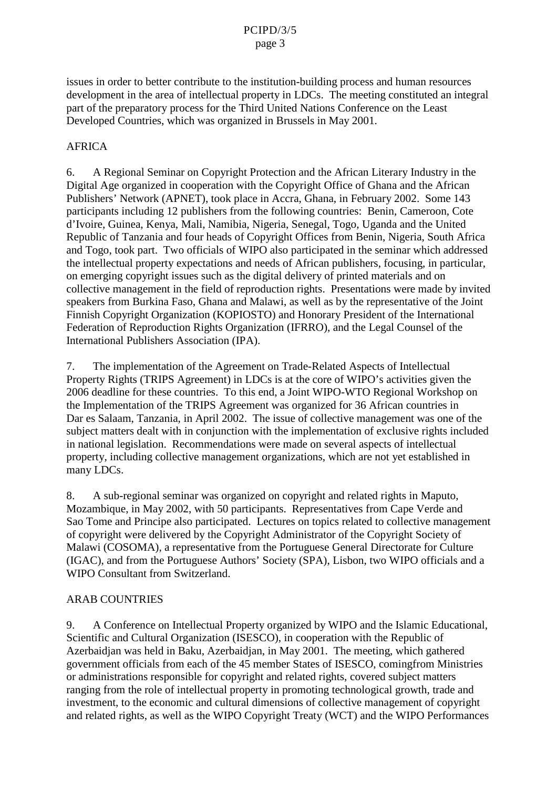issues in order to bet ter contribute to the institution -building process and human resources development in the area of intellectual property in LDCs. The meeting constituted an integral part of the preparatory process for the Third United Nations Conference on the Least Developed Countries, which was organized in Brussels in May 2001.

#### AFRICA

6. A Regional Seminar on Copyright Protection and the African Literary Industry in the Digital Ageorganized in cooperation with the Copyright Office of Ghana and the African Publishers' Network (APNET), took place in Accra, Ghana , in February 2002 . Some 143 participants including 12 publishers from the following countries: Benin, Cameroon, Cote d'Ivoire, Guinea, Kenya, Mali, Namibia, Nigeria, Senegal, To go, Uganda and the United Republic of Tanzania and four heads of Copyright Offices from Benin, Nigeria, South Africa and Togo, took part. Two officials of WIPO also participated in the seminar which addressed the intellectual property expectations and needs of African publishers, focusing, in particular, on emerging copyright issues such as the digital delivery of printed materials and on collective management in the field of reproduction rights. Presentations were made by invited speakers from Burkina Faso, Ghana and Malawi , as well as by the representative of the Joint Finnish Copyright Organization (KOPIOSTO) and Honorary President of the International Federation of Reproduction Rights Organization (IFRRO), and the Legal Counsel of the International Publishers Association (IPA).

7. The implementation of the Agreement on Trade -Related Aspects of Intellectual Property Rights (TRIPS Agreement) in LDCs is atthe core of WIPO's activities given the 2006 deadline for these countries. To this end, a Joint WIPO -WTO Regional Workshop on the Implementation of the TRIPS Agreement was organized for 36 African countries in Dar es Salaam, Tanzania, in April 2002. The issue of collective management was one of the subject matters dealt with inconjunction with the implementation of exclusive rights included in national legislation. Recommendations wer emade on several aspects of intellectual property, including collective management organizations, which are not yet established in manyLDCs.

8. A sub-regional seminar was organized on copyright and related rights in Map uto, Mozambique, in May 2002, with 50 participants. Representatives from Cape Verdeand Sao Tome and Principe also participated. Lectures on topics related to collective management of copyright were delivered by the Copyright Administrator of the Copyr ight Society of Malawi (COSOMA), arepresentative from the Portuguese General Directorate for Culture (IGAC), and from the Portuguese Authors' Society (SPA), Lisbon, two WIPO officials and a WIPOConsultantfrom Switzerland.

#### **ARABCOUNTRIES**

9. A Conference on Intellectual Property organized by WIPO and the Islamic Educational, Scientificand Cultural Organization (ISESCO), incooperation with the Republic of Azerbaidjan was heldinBaku, Azerbaidjan , in May 2001. The meeting , which gathered government of ficial sfrom each of the 45 member States of ISESCO , coming from Ministries or administrations responsible for copyright and related rights , covered subject matters ranging from the role of intellectual property in promoting technologic algrowth, trade and investment, to the economic and cultural dimensions of collective management of copyright and related rights, as well as the WIPO Copyright Treaty (WCT) and the WIPO Performances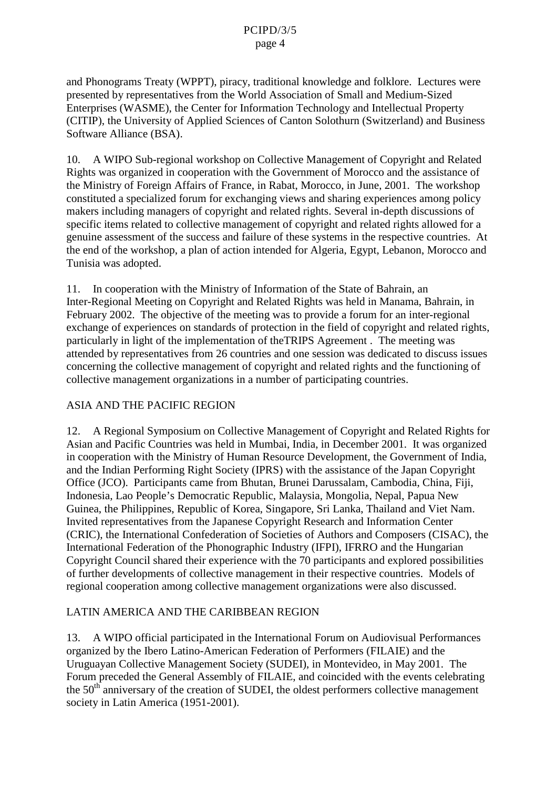and Phonograms Treaty (WPPT) , piracy, traditional knowledge and folklore. Lectures were presented by representatives from the World Association of Small and Medium -Sized Enterprises (WASME), the Centerfor Information Technology and Intellectual Property (CITIP), the University of Applied Sciences of Canton So lothurn (Switzerland) and Business Software Alliance (BSA).

10. AWIPOSub -regionalworkshoponCollectiveManagement of Copyright and Related Rights was organized in cooperation with the Government of Morocco and the assistance of the Ministry of Foreign Affairs of France, in Rabat, Morocco, in June, 2001. The workshop constituted as pecialized for um for exchanging views and sharing experiences among policy makers including managers of copyright and related rights. Several in -depth discussions of specificitems related to collective management of copyright and related rights allowed for a genuine assessment of the success and failure of these systems in the respective countries. At the end of the workshop, a plan of action intended for Algeria, Egypt, Lebanon, Morocco and Tunisia was adopted .

11. In cooperation with the Ministry of Information of the State of Bahrain, an Inter-Regional Meeting on Copyright and Related Rights was held in Manama, Bahrain, in February 2002 . The objective of the meeting was to provide a form of the meridian or pregional exchange of experiences on standards of protection in the field of copyright and related rights, particularly in light of the implementation of the TRIPS Agreement . The meeting was attended by representatives from 26 countries and one session was dedicated to discussissues concerning the collective management of copyright and related rights and the functioning of collective management organizations in a number of participating countries.

## ASIA AND THEPA CIFIC REGION

12. A Regional Symposium on Collective Management of Copyright and Related Rights for Asian and Pacific Countries was held in Mumbai, India, in December 2001. It was organized in cooperation with the Ministry of Human Resource Devel opment, the Government of India, and the Indian Performing Right Society (IPRS) with the assistance of the Japan Copyright Office (JCO). Participants came from Bhutan, Brunei Darussalam, Cambodia, China, Fiji, Indonesia, Lao People's Democratic Republic, Malaysia, Mongolia, Nepal, Papua New Guinea, the Philippines, Republic of Korea, Singapore, Sri Lanka, Thailand and Viet Nam. Invited representatives from the Japanese Copyright Research and Information Center (CRIC), the International Confederation of Societies of Authors and Composers (CISAC), the International Federation of the Phonographic Industry (IFPI), IFRRO and the Hungarian Copyright Council shared their experience with the 70 participants and explored possibilities of further developments of c ollective management in the irrespective countries. Models of regional cooperation among collective management organizations were also discussed.

## LATIN AMERICA AND THE CARIBBEAN REGION

13. A WIPO official participated in the International For um on Audiovisual Performances organized by the Ibero Latino -American Federation of Performers (FILAIE) and the Uruguayan Collective Management Society (SUDEI), in Montevideo, in May 2001. The Forum preceded the General Assembly of FILAIE, and coincided w ith the events celebrating the 50<sup>th</sup> anniversary of the creation of SUDEI, the oldest performers collective management society in Latin America (1951 - 2001).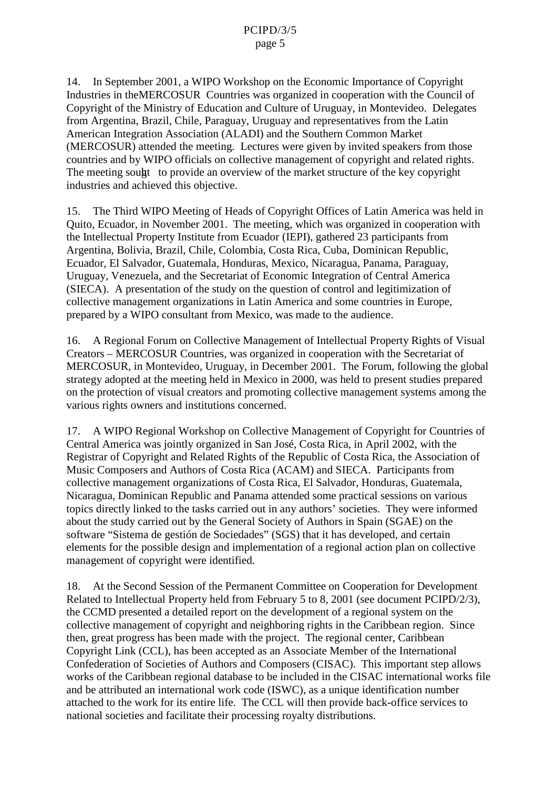14. In September 2001, a WIPO Workshop on the Economic Importance of Copyright Industries in the MERCOSUR Countries was organized in cooperation with the Council of Copyright of the Ministry of Education and Culture of Uruguay, in Montevideo. Del egates from Argentina, Brazil, Chile, Paraguay, Uruguay and representatives from the Latin American Integration Association (ALADI) and the Southern Common Market (MERCOSUR) attended the meeting. Lectures were given by invited speakers from those countries and by WIPO officials on collective management of copyright and related rights. The meeting sound to provide an overview of the market structure of the key copyright industries and achieved this objective .

15. The Third WIPO Meeting of Heads of Copyright Offices of Latin America was held in Quito, Ecuador, in November 2001. The meeting, w hich was organized in cooperation with the Intellectual P roperty Institute from Ecuador (IEPI), gathered 23 par ticipants from Argentina, Bolivia, Brazil, Chile, Colombia, Costa Rica, Cuba, Dominican Republic, Ecuador, El Salvador, Guatemala, Honduras, Mexi co, Nicaragua, Panama, Paraguay, Uruguay, Venezuela, and the Secretariat of Economic Integration of Central America (SIECA). Apresentation of the study on the question of control and legitimization of collective management organizations in Latin America and some countries in Europe, prepared by a WIPO consultant from Mexico , was made to the audience.

16. A Regional Forum on Collective Management of Intellectual Property Rights of Visual Creators – MERCOSURCountries, was organized in cooperation with the Secretariat of MERCOSUR, in M ontevideo, Uruguay, in De cember 2001. The Forum, following the global strategy adopted at the meeting held in Mexico in 2000 , was held to present studies prepared on the protection of visual creators and promoting collective management systems among the various right sowners and institutions concerned.

17. AWIPORegional Workshopon Collective Management of Copyright for Countries of Central America was jointly organized in San José, Costa Rica, in April 2002, with the Registrar of Copyright and Related Rights of the Republic of Costa Rica, the Association of Music Composers and Authors of Costa Rica (ACAM) and SIECA . Participants from collective management organizations of Costa Rica, El Salvador, Honduras, Guatemala, Nicaragua, Dominican Republic and Panama attended some practical sessions on various topics directly linked to the tasks carried out in any authors' societies. They were informed about the study carried out by the General Society of Authors in Spain (SGAE) on the software "Sistema degestión de Sociedades " (SGS) that it has developed, and certain elements for the possib ledesign and implementation of a regional action plan on collective management of copyright were identified.

18. Atthe Second Session of the Permanent Committee on Cooperation for Development Related to Intellectual Property held from February 5 to 8,2001 (seed ocument PCIPD/2/3) the CCMD presented a detailed report on the devel opment of a regional system on the the CCMD presented a detailed report on the development of a regional system on the contract of the CCMD presented at a region of the CCM collective management of copyright and neighboring rights in the Caribbean region . Since then, great progress has been made with the project. The regional center, Caribbean CopyrightLink(CCL), has been accepted as an Associate Member of the International Confederation of Societies of Authors and Composers (CISAC). This important step allows works of the Caribbean regional database to be included in the CISAC international works file and be attributed an internatio nal work code (ISWC), as a unique identification number attached to the work for its entire life. The CCL will then provide back -office services to national societies and facilitate their processing royalty distributions.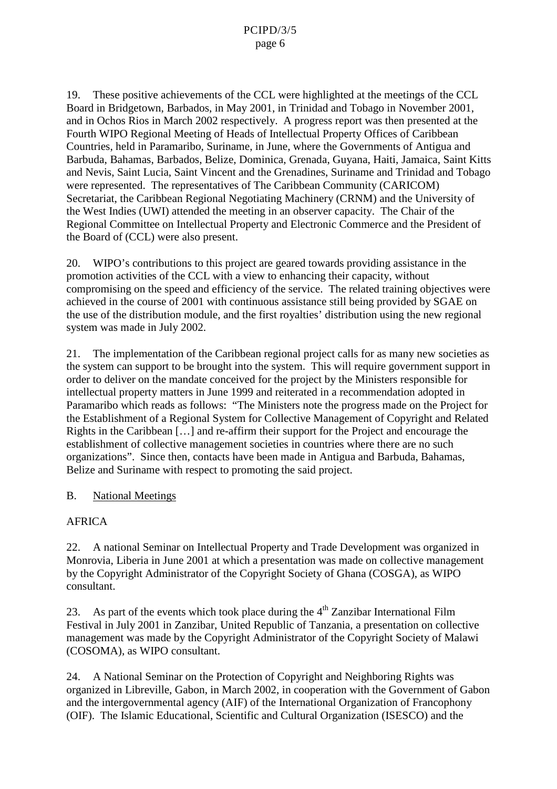19. These positive achi evements of the CCL were highlighted at the meetings of the CCL BoardinBridgetown, Barbados, in May 2001, in Trinidad and Tobago in November 2001. and in Ochos Rios in March 2002 respectively . A progress report was the npresented at the Fourth WIPO Regional Meeting of Heads of Intellectual Property Offices of Caribbean Countries, held in Paramaribo, Suriname, in June, where the Governments of Antigua and Barbuda, Bahamas, Barbados, Belize, Dominica, Grenada, Guyana, Hai ti, Jamaica, Saint Kitts and Nevis, Saint Lucia, Saint Vincent and the Grenadines, Suriname and Trinidad and Tobago were represented. The representatives of The Caribbean Community (CARICOM) Secretariat, the Caribbean Regional Negotiating Machinery (CRNM) and the University of the West Indies (UWI) attended the meeting in an observer capacity. The Chair of the Regional Committee on Intellectual Property and Electronic Commerce and the President of the Board of (CCL) were also present.

20. WIPO's contributions to this project are geared towards providing assistance in the promotion activities of the CCL with a view to enhancing their capacity, without compromising on the speed and efficiency of the service. The related training objectives were achieved in the course of 2001 with continuous assistance still being provided by SGAE on the use of the distribution module, and the first royal ties' distribution using the ne w regional systemwas made in July 2002.

21. The implementation of the Caribbean regional project calls for as many new societies as the system can support to be brought into the system . The is will require government support in order to deliver on the mandate conceived for the project by the Ministers responsible for intellectual property matters in June 1999 and reiterated in a recommendation adopted in Paramaribo which reads as follows: "The Ministers note the progress made on the Project for the Establishment of a Regional System for Collective Management of Copyright and Related Rights in the Caribbean [...] and re -affirm their support for the Project and encourage the establishment of collective managements ocieties in countries where the reare no such organizations". Since then, contacts have been made in Antigua and Barbuda, Bahamas, Belize and Suriname with respect to promoting the said project.

## B. National Meetings

## AFRICA

22. Anational Seminaron Intellectual Property and Trade Development was organized in Monrovia, Liberia in June 2001 at which a presentation was made on collective management by the Copyright Administrator of the Copyright Society of Ghana (COSGA ), as WIPO consultant.

23. As part of the events which took placeduring the 4 th Zanzibar International Film Festival in July 2001 in Zanzibar, United Republic of Tanzania, a pres entation on collective management was made by the Copyright Administrator of the Copyright Society of Malawi (COSOMA), as WIPO consultant.

24. A National Seminar on the Protection of Copyright and Neighboring Rights was organized in Librevil le, Gabon, in March 2002, in cooperation with the Government of Gabon and the intergovernmental agency (AIF) of the International Organization of Francophony (OIF). The Islamic Educational, Scientific and Cultural Organization (ISESCO) and t he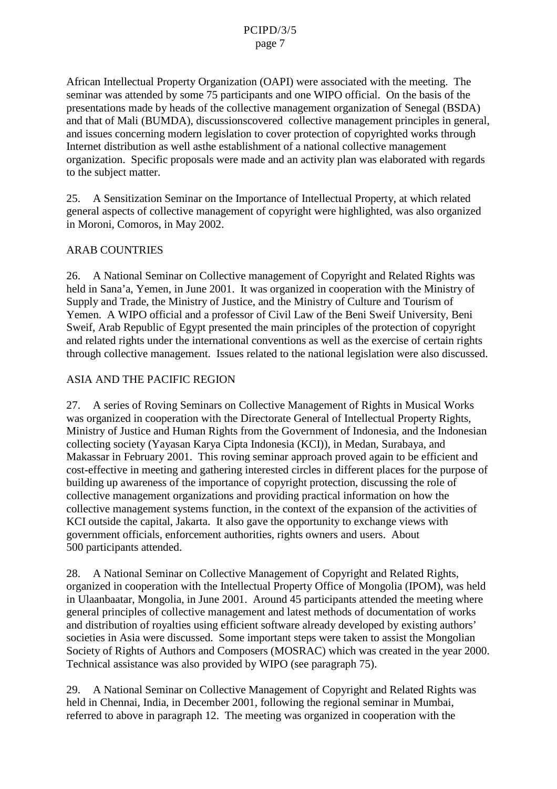African Intellectual Property Organization (OAPI) were associated with the meeting. The seminar was attended by some 75 participan ts and one WIPO official. On the basis of the presentations made by heads of the collective management organization of Senegal (BSDA) and that of Mali (BUMDA), discussions covered collective management principles in general and issues concerning modern legislation to cover protection of copyrighted works through Internet distribution as well as the establishment of a national collective management organization. Specific proposals were made and a nactivity plan was elaborated with regards to the subject matter.

25. A Sensitization Seminar on the Importance of Intellectual Property, at which related general aspects of collective management of copyri ght were highlighted, was also organized in Moroni, Comoros, in May 2002.

## **ARABCOUNTRIES**

26. A National Seminaron Collective management of Copyright and Related Rights was heldin Sana'a, Yemen, in June 2001. It was organized in cooperation w ith the Ministry of Supply and Trade, the Ministry of Justice, and the Ministry of Culture and Tourism of Yemen. AWIPO official and a professor of Civil Law of the Beni Sweif University, Beni Sweif, Arab Republic of Egypt presented the main principles of the protection of copyright and related rights under the international conventions as well as the exercise of certain rights through collective management. Issues related to the national legislation were also discussed.

#### **ASIA AND THE PACIFIC REGION**

27. A series of Roving Seminars on Collective Management of Rights in Musical Works was organized in cooperation with the Directorate General of Intellectual Property Rights, Ministry of Justice and Human Rights from the Government of Indonesia, and the Indonesian collecting society (Yayasan Karya Cipta Indonesia (KCI)), in Medan, Surabaya, and Makassarin February 2001. Th is roving seminar approach proved again to be efficient and cost-effective in meeting and gathering interested circles in different places for the purpose of building up awareness of the importance of copyright protection, discuss ing the role of collective management organizations and provid ing practical information on how the collective management systems function, in the c ontext of the expansion of the activities of KCI outside the capital, Jakarta. It also gave the opportunity to exchange views with government officials, enforcement authorities, rights owners and users . About 500 participants attended .

28. A National Seminaron Collective Management of Copyright and Related Rights organized in cooperation with the Intellectual Property Office of Mongolia (IPOM) , was held in Ulaanbaatar, Mongolia, in June 2001. Around 45 participan ts attended the meeting where general principles of collective management and latest methods of documentation of works and distribution of royal ties using efficients of tware already developed by existing authors' societies in Asia were discussed. Some imp ortantsteps were taken to assist the Mongolian Society of Rights of Authors and Composers (MOSRAC) which was created in the year 2000. Technical assistance was also provided by WIPO (see paragraph 75).

29. A National Seminaron Collective Manag ement of Copyright and Related Rights was heldin Chennai, India, in December 2001, following the regional seminar in Mumbai, referred to above in paragraph 12. The meeting was organized in cooperation with the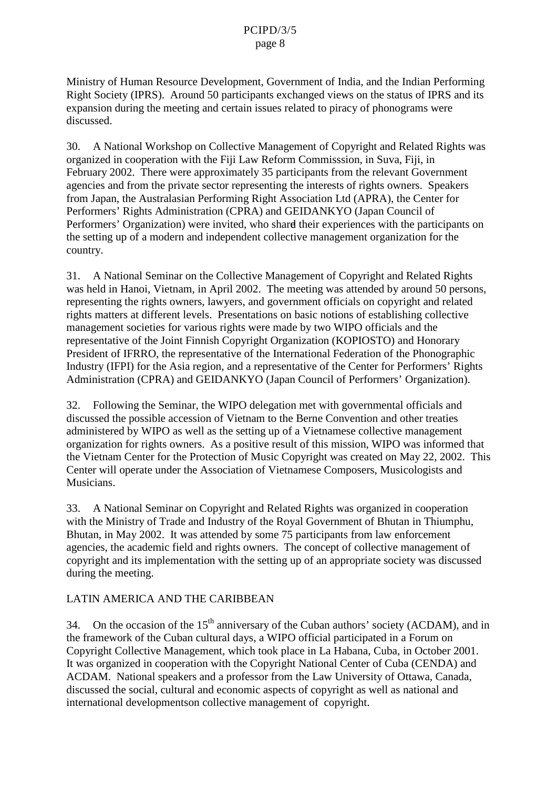Ministry of Human Resource Development, Gove rnment of India, and the Indian Performing Right Society (IPRS). Around 50 participants exchanged views on the status of IPRS and its expansion during the meeting and certain issues related to piracy of phonograms were discussed.

30. A National Workshopon Collective Management of Copyright and Related Rights was organized incooperation with the Fiil Law Reform Commisssion, in Suva, Fiii, in February 2002. There were approximately 35 participants from the relevant Government agencies and from the private sector representing the interests of rights owners. Speakers from Japan, the Australasian Performing Right Association Ltd (APRA), the Center for Performers' Rights Administration (CPRA) and GEIDANKYO (Japan Council of Performers' Organization) were invited, who shard their experiences with the participants on the setting up of a modern and independent collective management organization for the country.

31. A National Seminaron the Collective Managemen to fCopyright and Related Rights was held in Hanoi, Vietnam, in April 2002. The meeting was attended by around 50 persons, representing the rights owners, lawyers, and government of ficials on copyrigh tand related rights matters at different level s. Presentations on basic notions of establishing collective management societies for various rights were made by two WIPO officials and the representative of the Joint Finnish Copyright Organiz ation (K OPIOSTO) and Honorary President of IFRRO, the representative of the International Federation of the Phonographic Industry (IFPI) for the Asia region, and a representative of the Center for Performers' Rights Administration (CPRA) and GEIDANKYO (Jap an Council of Performers' Organization).

32. Following the Seminar, the WIPO delegation met with governmental officials and discussed the possible accession of Vietnam to the Berne Convention and other treaties administered by WIPO as well as the setting up of a Vietnamese collective management organization for rights owners. As a positive result of this mission, WIPO was informed that the Vietnam Center for the Protection of Music Copyright was created on May 22, 2002. This Center will operate under the Association of Vietnamese Composers, Musicologists and Musicians.

33. A National Seminaron Copyright and Related Rights was organized in cooperation with the Ministry of Trade and Industry of the Royal Government of Bhutan in Thiumphu, Bhutan, in May 2002. It was attended by some 75 participants from law enfor cement agencies, the academic field and rights owners. The concept of collective management of copyright and its implementation with the setting up of an appropriate society was discussed during the meeting.

## LATIN AMERICA AND THE CARIBBEAN

34. On the occasion of the 15 <sup>th</sup> anniversary of the Cuban authors' society (ACDAM), and in the framework of the Cubancultural days , a WIPO of ficial participated in a Forum on Copyright Collective Management, which took place in La Habana, Cuba, in Octobe r 2001. It was organized in cooperation with the Copyright National Center of Cuba (CENDA) and ACDAM. National speakers and a professor from the Law University of Ottawa, Canada, discussed the social, cultural and economic aspects of copyright as well as national and international developments oncollective management of copyright.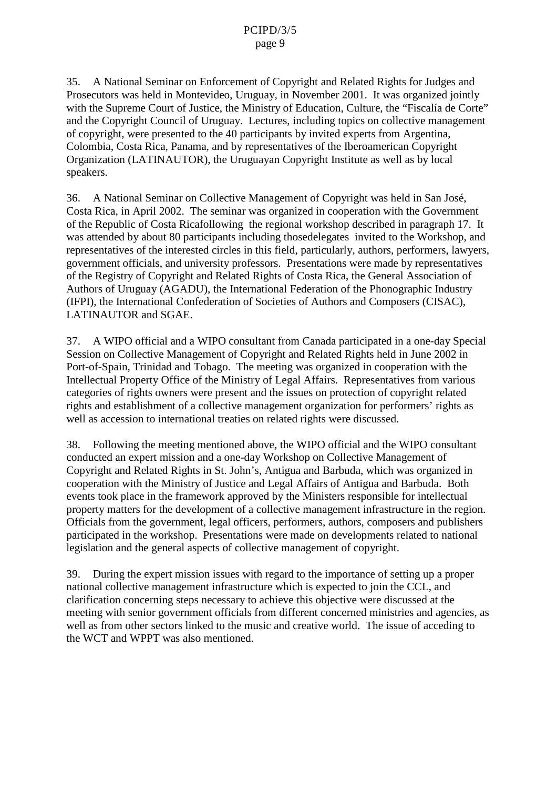35. A National Seminaron Enforcement of Copyright and Rela ted Rights for Judges and Prosecutors was held in Montevideo, Uruguay, in November 2001. It was organized jointly with the Supreme Court of Justice , the Ministry of Education, Culture , the "Fiscalia de Corte" and the Copyright Council of Uruguay . Lectures, including topics on collective management of copyright, were presented to the 40 participants by invited experts from Argentina, Colombia, Costa Rica, Panama, and by representatives of the Iberoamerican Copyright Organization (LATINAUTOR) , the Uruguayan Copyright Institute as well as by local speakers.

36. A National Seminaron Collective Management of Copyrigh twas held in San José, Costa Rica, in April 2002. The seminar was organized in contraction with the Government of the Republic of Costa Rica following the regional workshop described in paragraph 17. It was attended by about 80 particip ants including those delegates invited to the Workshop, and representatives of the interested circles in this field, partical analy, authors, performers, lawyers, government officials, and university professors . Presentations were made by representatives of the Registry of Copyright and Related Rights of Costa Rica, the General Association of Authorso f Uruguay (AGADU), the International Federation of the Phonographic Industry (IFPI), the International Confederation of Societies of Authors and Composers (CISAC), LATINAUTOR and SGAE.

37. AWIPO official and a WIPO consultant from Canada participated in a one -day Special Session on Collective Management of Copyright and Related Rights held in June 2002 in Port-of-Spain, Trinidad and Tobago. The meeting was organized in cooperation with the Intellectual Property Office of the Ministry of Legal Affairs. Representatives from various categories of rights owners were present and the issues on protection of copyright related rights and establishment of a collective management organization for performers' rights as well as accession to international treaties on related rights were discussed.

38. Following the meeting mentioned above, the WIPO official a nd the WIPO consultant conducted an expert mission and a one -day Workshop on Collective Management of Copyright and Related Rights in St. John's, Antigua and Barbuda , which was organized in cooperation with the M inistry of Justice and Legal Affairs of Antigua and Barbuda. Both events took place in the framework approved by the Ministers responsible for intellectual property matters for the development of a collective management infrastruc ture in the region. Officials from the government, legal officers, performers, authors, composers and publishers participated in the workshop. Presentations were made on developments related to national legislation and the general aspects of collective management of copyright.

39. During the expert mission issues with regard to the importance of setting up a proper national collective management infrastructure which is expected to join the CCL and clarification concerning steps necessary to achieve this objective were discussed at the meeting with senior government of ficials from different concerned ministries and agencies as wellas from other sectors linked to the music and creative world. The issue of acceding to the WCT and WPPT was also mentioned.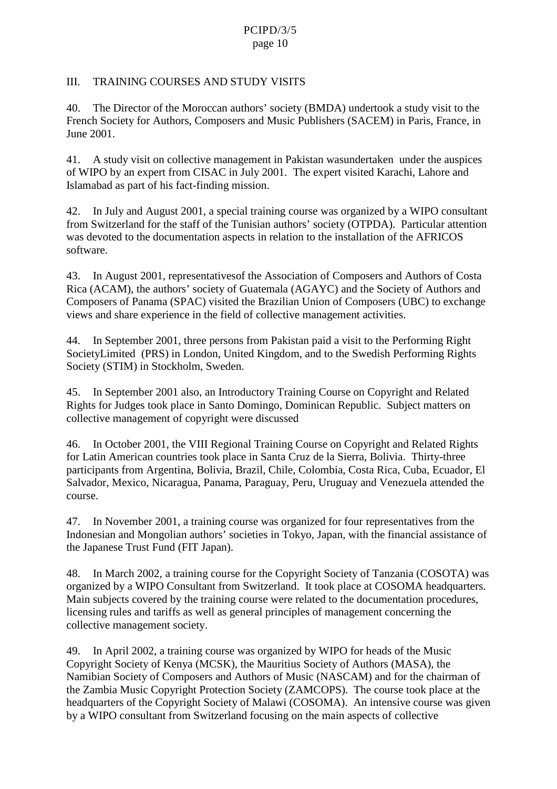#### PCIPD/3/5 page 10

#### III. TRAINING COURSES AND STUDY VISITS

40. The Director of the Moroccan authors' society (BMDA) undertook as tudy visit to the French Society for Authors, Composers and Music Publishers (SACEM) in Paris, France , in June 2001.

41. A study visit on collective management in Pakistan was under taken under the auspices of WIPO by an expert from CISAC in July 2001. The expert visited Kar achi, Lahore and Islamabadaspart of his fact -finding mission.

42. In July and August 2001, aspecial training course was organized by a WIPO consultant from Switzerland for the staff of the Tunisian authors' society (OTPDA). Particular attention was devoted to the documentation a spects in relation to the installation of the AFRICOS software.

43. In August 2001, representatives of the Association of Composers and Authors of Costa Rica (ACAM), the authors' society of Guatemala (AGAYC) and the Society of Authors and Composers of Panama (SPAC) visited the Brazilian Union of Composers (UBC) to exchange views and share experience in the field of collective management activities.

44. In September 2001, three persons from Pakistan paid a visit to the Performi ng Right Society Limited (PRS) in London, United Kingdom, and to the Swedish Performing Rights Society(STIM)inStockholm, Sweden.

45. In September 2001 also, an Introductory Training Course on Copyright and Related Rights for Judgestook p lace in Santo Domingo, Dominican Republic. Subjectmatters on collective management of copyright were discussed.

46. In October 2001, the VIII Regional Training Course on Copyright and Related Rights for Latin American countries took place in Santa Cruz de la Sierra, Bolivia . Thirty -three participants from Argentina, Bolivia, Brazil, Chile, Colombia, Costa Rica, Cuba, Ecuador, El Salvador, M exico, Nicaragua, P anama, Paraguay, Peru, Ur uguay and Venezuela attended the course.

47. In November 2001, a training course was organized for four representatives from the Indonesian and Mongolian authors' societies in Tokyo, Japan, with the financial assistance of the Japanese Trust Fund (FIT Japan).

48. In March 2002, atr aining course for the Copyright Society of Tanzania (COSOTA) was organized by a WIPO Consultant from Switzerland. It took place at COSOMA headquarters. Main subjects covered by the training course were related to the documentation procedures, licensing rules and tariffs as well as general principles of management concerning the collective management society.

49. In April 2002, a training course was organized by WIPO for heads of the Music Copyright Society of Kenya (MCSK), the Mauritius Society of Authors (MASA), the Namibian Societ yof Composers and Authors of Music (NASCAM) and for the chairman of the Zambia Music Copyright Protection Society (ZAMCOPS) . The course took place at the headquarters of the Copyright Society of Malawi (COSOMA) . An intensive course was given by a WIPO consultant from Switzerland focus ingonthe main aspects of collective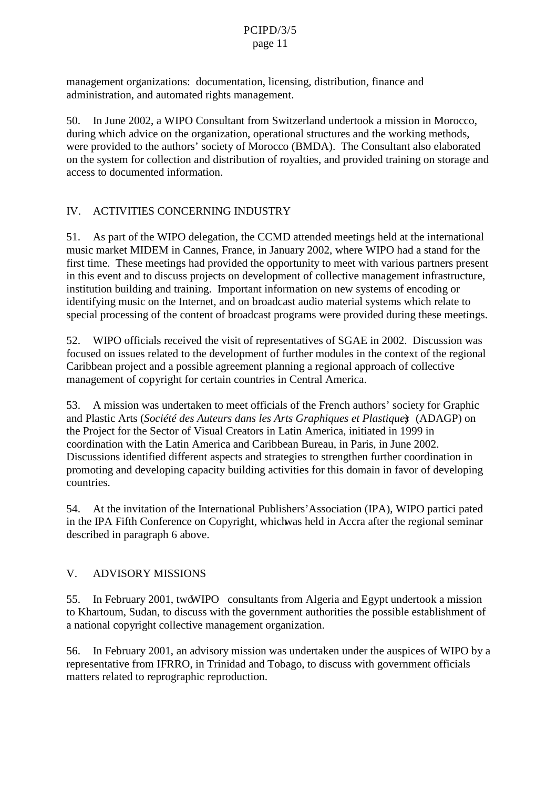management organizations: documentation, licensing, distribution, finance and administration, and automated rights management.

50. InJune 2002, a WIPO Consultant from Switzerland undertook amission in Morocco, during which advice on the organization, operational structures and the eworking methods, were provided to the authors' society of Morocco (BMDA) . The Consultant also elaborated on the system for collection and distribution of royalties, and provided training on storage and access to documented information.

## IV. ACTIVITIES CONCERNING INDUSTRY

51. Aspart of the WIPO delegation, the CCMD attended meetings held at the international music market MIDEM in C annes, France, in January 2002, where WIPO had a standfor the first time. These meeting shad provided the opportunity to meet with various partners present in this event and to discuss projects on development of collective management in frastructure, institution building and training. Important information on new systems of encoding or identifying musicon the Internet, and on broadcast audiomaterial systems which relate to special processing of the content of broadcast programs were provided during the semeetings

52. WIPO officials received the visito ferrometric visitors of SGAE in 2002. D iscussion was focused on issues related to the development of furthermodules in the context of the regional Caribbean project and a possible agreement planning a regi onal approach of collective management of copyright for certain countries in Central America.

53. A mission was undertaken to meet officials of the French authors' society for Graphic and Plastic Arts ( *Société des Auteurs dans les Arts Graphiques et Plastiques*) (ADAGP) on the Project for the Sector of Visual Creators in Latin America, initiated in 1999 in coordination with the Latin America and Caribbean Bureau , in Paris, in June 2002 . Discussions identified different aspects and strategies to strengthen further coordination in promoting and developing capacit y building activities for this domain in favor of developing countries.

54. At the invitation of the International Publishers' Association (IPA), WIPO partici pated in the IPA Fifth Conference on Copyright, which was held in Accraafter the regional seminar described in paragraph 6 above.

## V. ADVISORY MISSIONS

55. In February 2001, two WIPO consultants from Algeria and Egypt undertook a mission to Khar toum, Sudan, to discuss with the government authorities the possible establishment of anational copyright collective management organization.

56. In February 2001, anadyisory mission was under taken under the eauspices of WIPO by a representative from IFRRO , in Trinidad and Tobago , to discuss with government officials matters related to reprographic reproduction.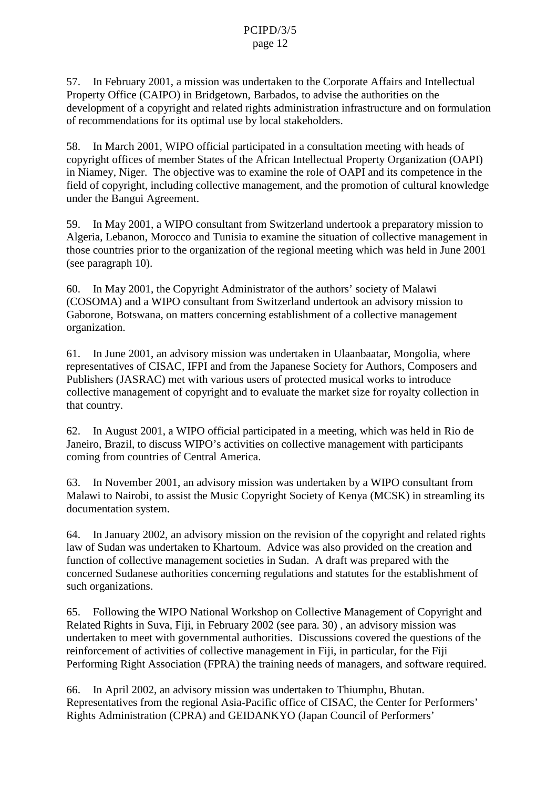57. In February 2001, a mission was undertaken to the C orporate Affairs and Intellectual Property Office (CAIPO) in Bridgetown, Barbados, to advise the authorities on the development of a copyright and related rights administration infrastructure and on formulation of recommendations for its optimal use by local stakeholders.

58. In March 2001, WIPO official participated in a consultation meeting with heads of copyright offices of member States of the African Intellectual Property Organization (OAPI) in Niamey, Niger . The objective was to examine the role of OAPI and its competence in the field of copyright , including collective management, and the promotion of cultural knowledge under the Bangui Agreement.

59. In May 2001, a WIPO consultant from Switzerland undertook a preparatory mission to Algeria, Lebanon, Morocco and Tunisia to examine the situation of collective management in those countries prior to the organization of the regional meeting which was held in June 2001 (seeparagraph 10).

60. In May 2001, the Copyright Administrator of the authors' society of Malawi (COSOMA) and a WIPO consultant from Switzerland undertook ana dvisory mission to Gaborone, Botswana, on matters concerning establishment of a collective management organization.

61. In June 2001, an advisory mission was undertaken in Ulaanbaatar, Mongolia, where representatives of CISAC, IFPI and from the Japanese Society for Authors, Composers and Publishers (JASRAC) met with various users of protected musical works to introduce collective management of copyright and to evaluate the market size for royalty collection in that country.

62. In August 2001, a WIPO official participated in a meeting which was held in Riode Janeiro, Brazil, to discuss WIPO's activities on collective management with participants coming from countries of Central America .

63. In November 2001, an advisory mission was undertaken by a WIPO consultant from Malawi to Nairobi, to assist the Music Copyright Society of Kenya (MCSK) in streamling its documentationsystem.

64. In January 2002, an advisory mission on the revision of the copyright and related rights law of Sudan was undertaken to Khartoum . Advice was also provided on the creation and function of collective managements ocieties in Sudan. A draft was prepared with the concerned Sudanese authorities con cerning regulations and statutes for the establishment of such organizations.

65. Following the WIPO National Workshop on Collective Manageme nto f Copyright and Related Rights in Suva, Fiji, in February 2002 (see pa ra. 30), and visory mission was undertaken to meet with governmental authorities . Discussions covered the questions of the reinforcement of activities of collective management in Fiji , in particular, for the Fiji Performing Right Association (FPRA) the training needs of managers , and software required.

66. In April 2002, anadvisory mission was undertaken to Thiumphu, Bhutan. Representatives from the regional Asia -Pacific of CISAC , the Center for Performers' Rights Administration (CPRA) and GEIDAN KYO (Japan Council of Performers'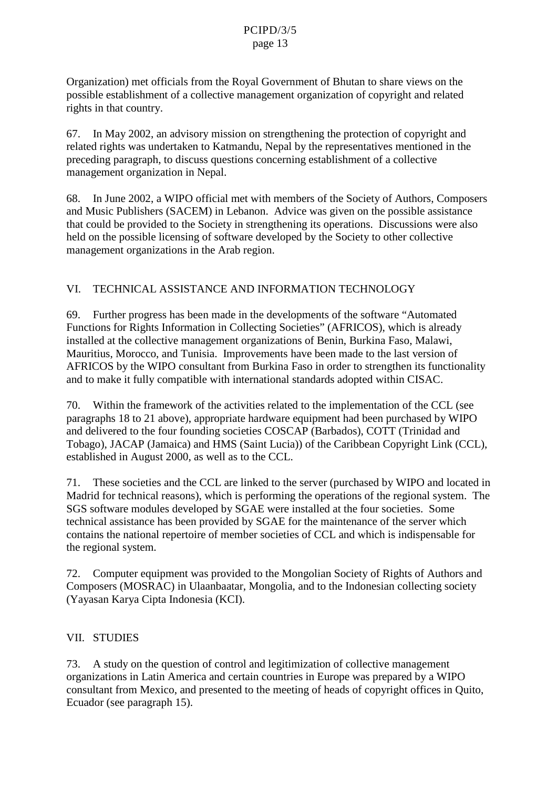Organization) met officials from the Royal Government of Bhutan to share views on the possible establishment of a collective management organization of copyright and related rights in the atcountry.

67. In May 2002, an advisory mission on strengthening the protection of copyright and related rights was undertaken to Katmandu, Nepal by the representatives mentioned in the preceding paragraph, to discuss question sconcerning establishment of a collective managementorganization in Nepal.

68. In June 2002, a WIPO official met with members of the Society of Authors, Composers and Music Publishers (SACEM) in Lebanon. Advice was given on the possible assistance that could be provided to the Society instrengthening its operations. Discussions were also held on the possible licensing of software developed by the Society to other collective management organizations in the Arab region.

## VI. TECHNICAL ASSISTANCE AND INFORMATION TECHNOLOGY

69. Further progress has been made in the developments of the software "Automated Functions for Rights Information in Coll ecting Societies " (AFRICOS), which is already installed at the collective management organizations of Benin, Burkina Faso, Malawi, Mauritius, Morocco, and Tunisia. Improvements have been made to the last version of AFRICOS by the WIPO consultant from Burkina Faso in order to strengthen its functionality and to make it fully compatible with international standards adopted within CISAC.

70. Within the framework of the activities related to the implementation of the CCL (see paragraphs 18 to 21 above), appropriate hardware equipment ha dbeen purchased by WIPO and delivered to the four founding societies COSCAP (Barbados), COTT (Trinidad and Tobago), JACAP (Jamaica) and HMS (Saint Lucia)) of the Caribbean Copyright Link (CCL), established in August 2000, as well as to the CCL.

71. These societies and the CCL are linked to the server (purchased by WIPO and located in Madrid for technical reasons) , which is performing the operations of the regional system . The SGS software modules developed by SGAE were installed at the four societies. Some technical assistance has been provided by SGAE for the maintenance of the server which contains the national repertoire of member societies of CCL and which is indispensable for theregional system.

72. Computer equipment was provided to the Mongolian Society of Rights of Authors and Composers (MOS RAC) in Ulaanba atar, Mongolia, and to the Indonesian collecting society (Yayasan Karya Cipta Indonesia (KCI) .

## VII. STUDIES

73. A study on the question of control and legitimization of collective management organizations in Latin America and certain countries in Europe was prepared by a WIPO consultant from Mexico, and presented to the meeting of heads of copyright offices in Quito, Ecuador (see paragraph 15).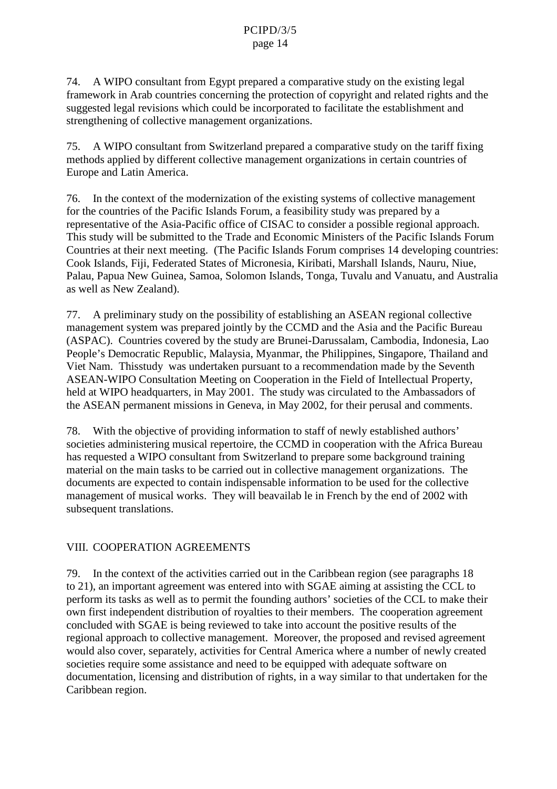74. AWIPO consultant from Egypt prepared a comparative study on the existing legal frameworkin Arab countries concerning the protection of copyright and related rights and the suggested legal revisions which could be incorporated to facilitate the establishment and strengthening of collective management organizations.

75. AWIPO consultant from Switzerland prepared a comparative study on the tariff fixing methods applied by different collective management organizations in certain countries of EuropeandLatinAmerica.

76. In the context of the modernization of the existing systems of collective management for the countries of the Pacific Islands Fo rum, a feasibility study was prepared by a representative of the Asia-Pacific of CISAC to consider a possible regional approach. This study will be submitted to the Trade and Economic Ministers of the Pacific Islands Forum Countries at their next meeting. (The Pacific Islands Forum comprises 14 developing countries: Cook Islands, Fiji, Federated States of Micronesia, Kiribati, Marshall Islands, Nauru, Niue, Palau, Papua New Guinea, Samoa, Solomon Islands, Tonga, T uvalu and Vanuatu, and Australia as wellas New Zealand).

77. A preliminary study on the possibility of establishing an ASEAN regional collective management system was prepared jointly by the CCMD and the Asia and the Pacific Bureau (ASPAC). Countries covered by the study are Brunei -Darussalam, Cambodia, Indonesia, Lao People's Democratic Republic, Malaysia, Myanmar, the Philippines, Singapore, Thailand and VietN am. This tudy was undertaken pursuant to a recommendation made by the Seventh ASEAN-WIPOConsultationMeetingonCooperationintheFieldofIntellectualProperty, held at WIPO headquarters, in May 2001 . The study was circulated to the Ambassadors of the ASEAN permanent missions in Geneva, in May 2002, for their perusal and comments.

78. With the objective of providing information to staff of new lyestablished authors' societies administering musical repertoire, the CCMD in cooperation with the Africa Bureau has requested a WIPO consultant from Switzerland to prepare some background training material on the main tasks to be carried out incollective management organizations. The documents are expected to contain indispensable information to be used for the collective management of musical works. They will be availab lein French by the end of 2002 with subsequent translations.

# VIII. COOPERATIONAGREEMENTS

79. In the context of the activities carried out in the Caribbean region (see paragraphs 18 to 21), an important agreement was entered into with SGAE aiming at assisting the CCL to performitstasks as well as to permit the foundi ng authors' societies of the CCL to make their own first independent distribution of royalties to their members. The cooperation agreement concluded with SGAE is being review ed to take into account the positive results of the regional approach to collective management. Moreover, the proposed and revi sed agreement would also cover, separately, activities for Central America where a number of newly created societies requires omeassistance and need to be equipped w ith adequate software on documentation, licensing and distribution of rights, in a way similar to that undertaken for the Caribbean region.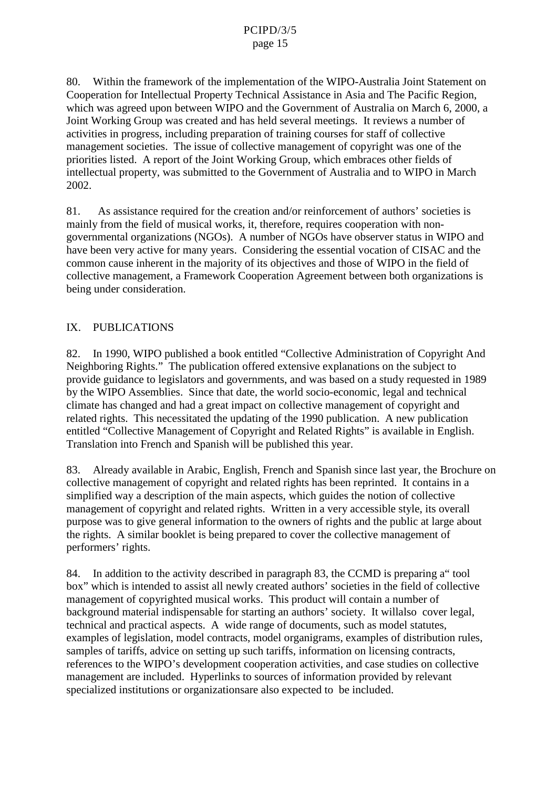80. Within the framework of the implementation of the WIPO - Australia Joint Statement on Cooperation for Intellectual Property Technical Assistance in Asia and The Pacific Region, which was agreed upon between WIPO and the Government of Australia on March 6, 2000, a Joint Working Group was created and has held several meetings. It reviews a number of activities inprogress, including preparation of training courses for staff of collective management societies. The issue of collective management of copyright was one of the priorities listed . A report of the Joint Working Group, which embraces other fields of intellectual property, was submitted to the Government of Australia and to WIPO in March 2002.

81. As assistance required forthecreation and/orreinforcement of authors' societies is mainly from the field of musical works , it, therefore, requires cooperation with nongovernmental organizations (NGOs) . A number of NGOs have observer status in WIPO and have been very active for many years. Considering the essential vocation of CISAC and the common cause inherent in the majority of its objectives an dthose of WIPO in the field of collective management, a Framework Cooperation Agreement between both organizations is being under consideration.

## IX. PUBLICATIONS

82. In 1990, WIPO published abook entitled "Collective Administration of Copyright And Neighboring Rights ." The publication of ferred extensive explanations on the subject to provide guidance to legislators and governments , and was based on a study requested in 1989 by the WIPO Assemblies. Since that date, the world socio-economic, legal and technical climate has changed and hadd greatimpact on collective management of copyright and related rights. This necessitated the updating of the 1990 publication . A new publication entitled "Collective Management of Copyright and Related Rights " is available in Eng lish. Translation into French and Spanish will be published this year.

83. Already available in Arabic, English, French and Spanish since last year, the Brochure on collective management of copyright and related r ights has been reprinted. It contains in a simplified way a description of the main aspects, which guides the notion of collective management of copyright and related rights . Written in a very accessible style, its overall purpose was to give gene ral information to the owners of rights and the public at large about the rights. A similar booklet is being prepared to cover the collective management of performers' rights.

84. In addition to the activity described in paragraph 83, the CCM Dispreparing a " tool box" which is intended to assistall newly created authors' societies in the field of collective management of copyrighted musical works. This product will contain a number of background material indispensable for starting an authors' society. It will also coverlegal, technical and practical aspects . A wide range of documents, such as model statutes, examples of legislation, model contra cts, model organigrams, examples of distribution rules, samples of tariffs, advi ce on setting up such tariffs, information on licensing contracts, references to the WIPO's development cooperation activities , and cases tudies on collective managementar eincluded .H yperlinkstosources of information provided by relevant specialized institutions or organizations are also expected to be included.